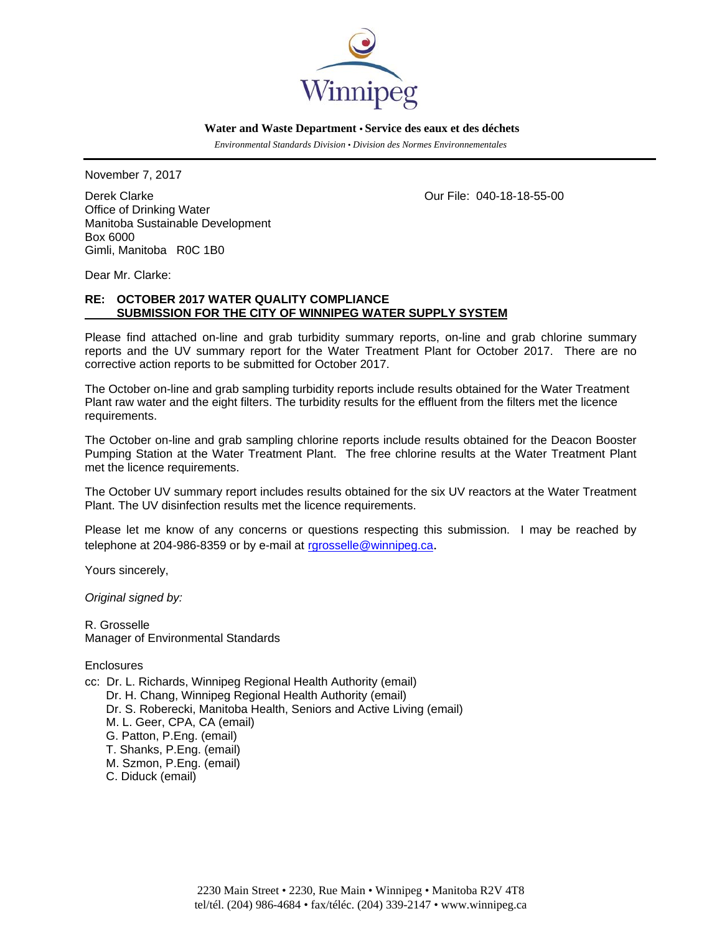

 **Water and Waste Department • Service des eaux et des déchets**

 *Environmental Standards Division • Division des Normes Environnementales* 

November 7, 2017

Derek Clarke Our File: 040-18-18-55-00 Office of Drinking Water Manitoba Sustainable Development Box 6000 Gimli, Manitoba R0C 1B0

Dear Mr. Clarke:

## **RE: OCTOBER 2017 WATER QUALITY COMPLIANCE SUBMISSION FOR THE CITY OF WINNIPEG WATER SUPPLY SYSTEM**

Please find attached on-line and grab turbidity summary reports, on-line and grab chlorine summary reports and the UV summary report for the Water Treatment Plant for October 2017. There are no corrective action reports to be submitted for October 2017.

The October on-line and grab sampling turbidity reports include results obtained for the Water Treatment Plant raw water and the eight filters. The turbidity results for the effluent from the filters met the licence requirements.

The October on-line and grab sampling chlorine reports include results obtained for the Deacon Booster Pumping Station at the Water Treatment Plant. The free chlorine results at the Water Treatment Plant met the licence requirements.

The October UV summary report includes results obtained for the six UV reactors at the Water Treatment Plant. The UV disinfection results met the licence requirements.

Please let me know of any concerns or questions respecting this submission. I may be reached by telephone at 204-986-8359 or by e-mail at rgrosselle@winnipeg.ca.

Yours sincerely,

*Original signed by:* 

R. Grosselle Manager of Environmental Standards

**Enclosures** 

cc: Dr. L. Richards, Winnipeg Regional Health Authority (email) Dr. H. Chang, Winnipeg Regional Health Authority (email) Dr. S. Roberecki, Manitoba Health, Seniors and Active Living (email) M. L. Geer, CPA, CA (email) G. Patton, P.Eng. (email) T. Shanks, P.Eng. (email) M. Szmon, P.Eng. (email) C. Diduck (email)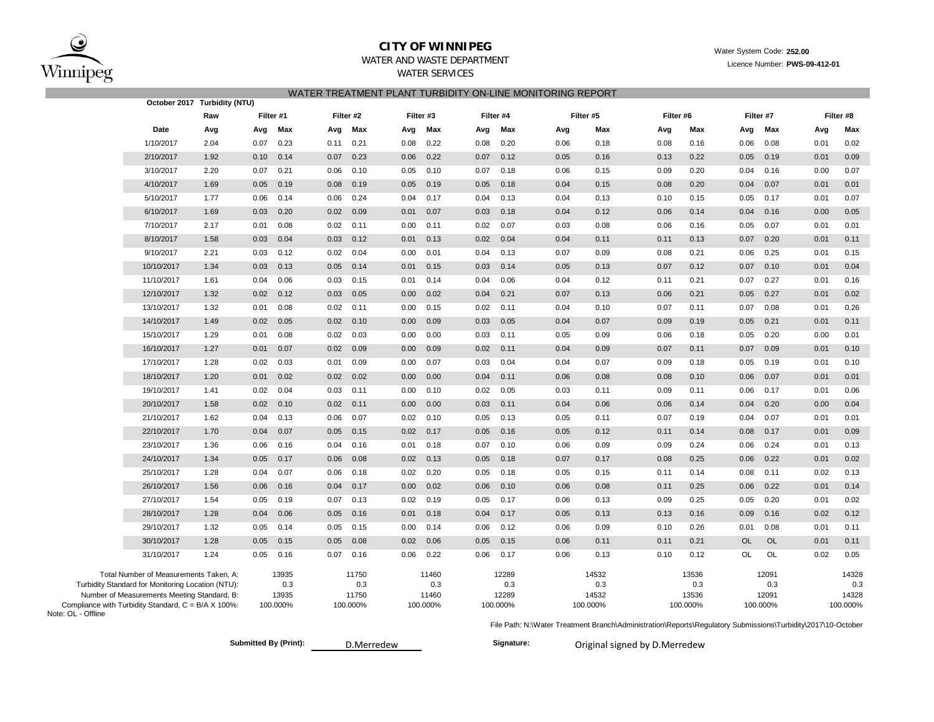

# **CITY OF WINNIPEG** WATER WATER WATER WATER System Code: 252.00

WATER SERVICES

WATER AND WASTE DEPARTMENT **Examples 2008** Material system season **Licence Number: PWS-09-412-01** 

### WATER TREATMENT PLANT TURBIDITY ON-LINE MONITORING REPORT

|                                                                           |                                                                                                                                            | October 2017 Turbidity (NTU) |           |                       |           |                                   |                        |                                   |      |                            |      |      |           |                       |           |                                   |      |                                   |  |      |                                   |
|---------------------------------------------------------------------------|--------------------------------------------------------------------------------------------------------------------------------------------|------------------------------|-----------|-----------------------|-----------|-----------------------------------|------------------------|-----------------------------------|------|----------------------------|------|------|-----------|-----------------------|-----------|-----------------------------------|------|-----------------------------------|--|------|-----------------------------------|
|                                                                           |                                                                                                                                            | Raw                          | Filter #1 |                       | Filter #2 |                                   | Filter #3<br>Filter #4 |                                   |      |                            |      |      | Filter #5 |                       | Filter #6 |                                   |      | Filter #7                         |  |      | Filter #8                         |
|                                                                           | Date                                                                                                                                       | Avg                          | Avg       | Max                   | Avg       | Max                               | Avg                    | Max                               | Avg  |                            | Max  | Avg  |           | Max                   | Avg       | Max                               | Avg  | Max                               |  | Avg  | Max                               |
|                                                                           | 1/10/2017                                                                                                                                  | 2.04                         | 0.07      | 0.23                  | 0.11      | 0.21                              | 0.08                   | 0.22                              | 0.08 |                            | 0.20 | 0.06 |           | 0.18                  | 0.08      | 0.16                              | 0.06 | 0.08                              |  | 0.01 | 0.02                              |
|                                                                           | 2/10/2017                                                                                                                                  | 1.92                         | 0.10      | 0.14                  | 0.07      | 0.23                              | 0.06                   | 0.22                              | 0.07 |                            | 0.12 | 0.05 |           | 0.16                  | 0.13      | 0.22                              | 0.05 | 0.19                              |  | 0.01 | 0.09                              |
|                                                                           | 3/10/2017                                                                                                                                  | 2.20                         | 0.07      | 0.21                  | 0.06      | 0.10                              | 0.05                   | 0.10                              | 0.07 |                            | 0.18 | 0.06 |           | 0.15                  | 0.09      | 0.20                              | 0.04 | 0.16                              |  | 0.00 | 0.07                              |
|                                                                           | 4/10/2017                                                                                                                                  | 1.69                         | 0.05      | 0.19                  | 0.08      | 0.19                              | 0.05                   | 0.19                              | 0.05 |                            | 0.18 | 0.04 |           | 0.15                  | 0.08      | 0.20                              | 0.04 | 0.07                              |  | 0.01 | 0.01                              |
|                                                                           | 5/10/2017                                                                                                                                  | 1.77                         | 0.06      | 0.14                  | 0.06      | 0.24                              | 0.04                   | 0.17                              | 0.04 |                            | 0.13 | 0.04 |           | 0.13                  | 0.10      | 0.15                              | 0.05 | 0.17                              |  | 0.01 | 0.07                              |
|                                                                           | 6/10/2017                                                                                                                                  | 1.69                         | 0.03      | 0.20                  | 0.02      | 0.09                              | 0.01                   | 0.07                              | 0.03 |                            | 0.18 | 0.04 |           | 0.12                  | 0.06      | 0.14                              | 0.04 | 0.16                              |  | 0.00 | 0.05                              |
|                                                                           | 7/10/2017                                                                                                                                  | 2.17                         | 0.01      | 0.08                  | 0.02      | 0.11                              | 0.00                   | 0.11                              | 0.02 |                            | 0.07 | 0.03 |           | 0.08                  | 0.06      | 0.16                              | 0.05 | 0.07                              |  | 0.01 | 0.01                              |
|                                                                           | 8/10/2017                                                                                                                                  | 1.58                         | 0.03      | 0.04                  | 0.03      | 0.12                              | 0.01                   | 0.13                              | 0.02 |                            | 0.04 | 0.04 |           | 0.11                  | 0.11      | 0.13                              | 0.07 | 0.20                              |  | 0.01 | 0.11                              |
|                                                                           | 9/10/2017                                                                                                                                  | 2.21                         | 0.03      | 0.12                  | 0.02      | 0.04                              | 0.00                   | 0.01                              | 0.04 |                            | 0.13 | 0.07 |           | 0.09                  | 0.08      | 0.21                              | 0.06 | 0.25                              |  | 0.01 | 0.15                              |
|                                                                           | 10/10/2017                                                                                                                                 | 1.34                         | 0.03      | 0.13                  | 0.05      | 0.14                              | 0.01                   | 0.15                              | 0.03 |                            | 0.14 | 0.05 |           | 0.13                  | 0.07      | 0.12                              | 0.07 | 0.10                              |  | 0.01 | 0.04                              |
|                                                                           | 11/10/2017                                                                                                                                 | 1.61                         | 0.04      | 0.06                  | 0.03      | 0.15                              | 0.01                   | 0.14                              | 0.04 |                            | 0.06 | 0.04 |           | 0.12                  | 0.11      | 0.21                              | 0.07 | 0.27                              |  | 0.01 | 0.16                              |
|                                                                           | 12/10/2017                                                                                                                                 | 1.32                         | 0.02      | 0.12                  | 0.03      | 0.05                              | 0.00                   | 0.02                              | 0.04 |                            | 0.21 | 0.07 |           | 0.13                  | 0.06      | 0.21                              | 0.05 | 0.27                              |  | 0.01 | 0.02                              |
|                                                                           | 13/10/2017                                                                                                                                 | 1.32                         | 0.01      | 0.08                  | 0.02      | 0.11                              | 0.00                   | 0.15                              | 0.02 |                            | 0.11 | 0.04 |           | 0.10                  | 0.07      | 0.11                              | 0.07 | 0.08                              |  | 0.01 | 0.26                              |
|                                                                           | 14/10/2017                                                                                                                                 | 1.49                         | 0.02      | 0.05                  | 0.02      | 0.10                              | 0.00                   | 0.09                              | 0.03 |                            | 0.05 | 0.04 |           | 0.07                  | 0.09      | 0.19                              | 0.05 | 0.21                              |  | 0.01 | 0.11                              |
|                                                                           | 15/10/2017                                                                                                                                 | 1.29                         | 0.01      | 0.08                  | 0.02      | 0.03                              | 0.00                   | 0.00                              | 0.03 |                            | 0.11 | 0.05 |           | 0.09                  | 0.06      | 0.18                              | 0.05 | 0.20                              |  | 0.00 | 0.01                              |
|                                                                           | 16/10/2017                                                                                                                                 | 1.27                         | 0.01      | 0.07                  | 0.02      | 0.09                              | 0.00                   | 0.09                              | 0.02 |                            | 0.11 | 0.04 |           | 0.09                  | 0.07      | 0.11                              | 0.07 | 0.09                              |  | 0.01 | 0.10                              |
|                                                                           | 17/10/2017                                                                                                                                 | 1.28                         | 0.02      | 0.03                  | 0.01      | 0.09                              | 0.00                   | 0.07                              | 0.03 |                            | 0.04 | 0.04 |           | 0.07                  | 0.09      | 0.18                              | 0.05 | 0.19                              |  | 0.01 | 0.10                              |
|                                                                           | 18/10/2017                                                                                                                                 | 1.20                         | 0.01      | 0.02                  | 0.02      | 0.02                              | 0.00                   | 0.00                              | 0.04 |                            | 0.11 | 0.06 |           | 0.08                  | 0.08      | 0.10                              | 0.06 | 0.07                              |  | 0.01 | 0.01                              |
|                                                                           | 19/10/2017                                                                                                                                 | 1.41                         | 0.02      | 0.04                  | 0.03      | 0.11                              | 0.00                   | 0.10                              | 0.02 |                            | 0.05 | 0.03 |           | 0.11                  | 0.09      | 0.11                              | 0.06 | 0.17                              |  | 0.01 | 0.06                              |
|                                                                           | 20/10/2017                                                                                                                                 | 1.58                         | 0.02      | 0.10                  | 0.02      | 0.11                              | 0.00                   | 0.00                              | 0.03 |                            | 0.11 | 0.04 |           | 0.06                  | 0.06      | 0.14                              | 0.04 | 0.20                              |  | 0.00 | 0.04                              |
|                                                                           | 21/10/2017                                                                                                                                 | 1.62                         | 0.04      | 0.13                  | 0.06      | 0.07                              | 0.02                   | 0.10                              | 0.05 |                            | 0.13 | 0.05 |           | 0.11                  | 0.07      | 0.19                              | 0.04 | 0.07                              |  | 0.01 | 0.01                              |
|                                                                           | 22/10/2017                                                                                                                                 | 1.70                         | 0.04      | 0.07                  | 0.05      | 0.15                              | 0.02                   | 0.17                              | 0.05 |                            | 0.16 | 0.05 |           | 0.12                  | 0.11      | 0.14                              | 0.08 | 0.17                              |  | 0.01 | 0.09                              |
|                                                                           | 23/10/2017                                                                                                                                 | 1.36                         | 0.06      | 0.16                  | 0.04      | 0.16                              | 0.01                   | 0.18                              | 0.07 |                            | 0.10 | 0.06 |           | 0.09                  | 0.09      | 0.24                              | 0.06 | 0.24                              |  | 0.01 | 0.13                              |
|                                                                           | 24/10/2017                                                                                                                                 | 1.34                         | 0.05      | 0.17                  | 0.06      | 0.08                              | 0.02                   | 0.13                              | 0.05 |                            | 0.18 | 0.07 |           | 0.17                  | 0.08      | 0.25                              | 0.06 | 0.22                              |  | 0.01 | 0.02                              |
|                                                                           | 25/10/2017                                                                                                                                 | 1.28                         | 0.04      | 0.07                  | 0.06      | 0.18                              | 0.02                   | 0.20                              | 0.05 |                            | 0.18 | 0.05 |           | 0.15                  | 0.11      | 0.14                              | 0.08 | 0.11                              |  | 0.02 | 0.13                              |
|                                                                           | 26/10/2017                                                                                                                                 | 1.56                         | 0.06      | 0.16                  | 0.04      | 0.17                              | 0.00                   | 0.02                              | 0.06 |                            | 0.10 | 0.06 |           | 0.08                  | 0.11      | 0.25                              | 0.06 | 0.22                              |  | 0.01 | 0.14                              |
|                                                                           | 27/10/2017                                                                                                                                 | 1.54                         | 0.05      | 0.19                  | 0.07      | 0.13                              | 0.02                   | 0.19                              | 0.05 |                            | 0.17 | 0.06 |           | 0.13                  | 0.09      | 0.25                              | 0.05 | 0.20                              |  | 0.01 | 0.02                              |
|                                                                           | 28/10/2017                                                                                                                                 | 1.28                         | 0.04      | 0.06                  | 0.05      | 0.16                              | 0.01                   | 0.18                              | 0.04 |                            | 0.17 | 0.05 |           | 0.13                  | 0.13      | 0.16                              | 0.09 | 0.16                              |  | 0.02 | 0.12                              |
|                                                                           | 29/10/2017                                                                                                                                 | 1.32                         | 0.05      | 0.14                  | 0.05      | 0.15                              | 0.00                   | 0.14                              | 0.06 |                            | 0.12 | 0.06 |           | 0.09                  | 0.10      | 0.26                              | 0.01 | 0.08                              |  | 0.01 | 0.11                              |
|                                                                           | 30/10/2017                                                                                                                                 | 1.28                         | 0.05      | 0.15                  | 0.05      | 0.08                              | 0.02                   | 0.06                              | 0.05 |                            | 0.15 | 0.06 |           | 0.11                  | 0.11      | 0.21                              | OL   | <b>OL</b>                         |  | 0.01 | 0.11                              |
|                                                                           | 31/10/2017                                                                                                                                 | 1.24                         | 0.05      | 0.16                  | 0.07      | 0.16                              | 0.06                   | 0.22                              | 0.06 |                            | 0.17 | 0.06 |           | 0.13                  | 0.10      | 0.12                              | OL   | OL                                |  | 0.02 | 0.05                              |
| Compliance with Turbidity Standard, C = B/A X 100%:<br>Note: OL - Offline | Total Number of Measurements Taken, A:<br>Turbidity Standard for Monitoring Location (NTU):<br>Number of Measurements Meeting Standard, B: |                              | 100.000%  | 13935<br>0.3<br>13935 |           | 11750<br>0.3<br>11750<br>100.000% |                        | 11460<br>0.3<br>11460<br>100.000% |      | 12289<br>12289<br>100.000% | 0.3  |      | 100.000%  | 14532<br>0.3<br>14532 |           | 13536<br>0.3<br>13536<br>100.000% |      | 12091<br>0.3<br>12091<br>100.000% |  |      | 14328<br>0.3<br>14328<br>100.000% |

D.Merredew **Submitted By (Print): Signature:**

Original signed by D.Merredew

File Path: N:\Water Treatment Branch\Administration\Reports\Regulatory Submissions\Turbidity\2017\10-October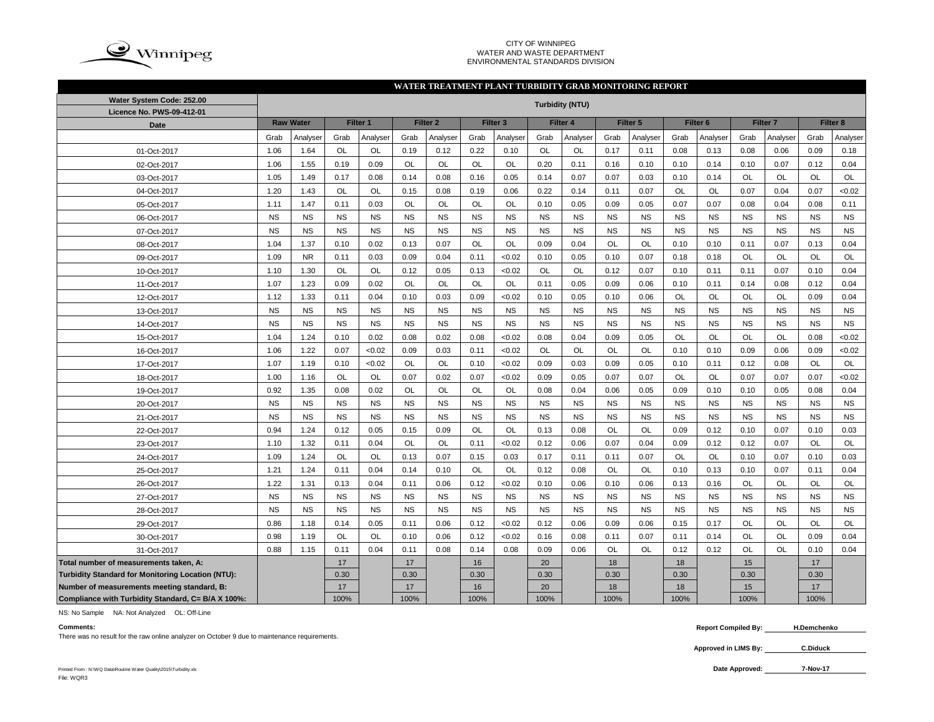

#### CITY OF WINNIPEG WATER AND WASTE DEPARTMENT ENVIRONMENTAL STANDARDS DIVISION

### **WATER TREATMENT PLANT TURBIDITY GRAB MONITORING REPORT**

| Water System Code: 252.00                          |           |                  |           |           |           |                     |           |                     |           | <b>Turbidity (NTU)</b> |           |           |                     |           |                     |           |           |           |
|----------------------------------------------------|-----------|------------------|-----------|-----------|-----------|---------------------|-----------|---------------------|-----------|------------------------|-----------|-----------|---------------------|-----------|---------------------|-----------|-----------|-----------|
| Licence No. PWS-09-412-01                          |           |                  |           |           |           |                     |           |                     |           |                        |           |           |                     |           |                     |           |           |           |
| <b>Date</b>                                        |           | <b>Raw Water</b> |           | Filter 1  |           | Filter <sub>2</sub> |           | Filter <sub>3</sub> |           | Filter 4               |           | Filter 5  | Filter <sub>6</sub> |           | Filter <sub>7</sub> |           | Filter 8  |           |
|                                                    | Grab      | Analyser         | Grab      | Analyser  | Grab      | Analyser            | Grab      | Analyser            | Grab      | Analyser               | Grab      | Analyser  | Grab                | Analyser  | Grab                | Analyser  | Grab      | Analyser  |
| 01-Oct-2017                                        | 1.06      | 1.64             | <b>OL</b> | <b>OL</b> | 0.19      | 0.12                | 0.22      | 0.10                | <b>OL</b> | <b>OL</b>              | 0.17      | 0.11      | 0.08                | 0.13      | 0.08                | 0.06      | 0.09      | 0.18      |
| 02-Oct-2017                                        | 1.06      | 1.55             | 0.19      | 0.09      | <b>OL</b> | <b>OL</b>           | <b>OL</b> | <b>OL</b>           | 0.20      | 0.11                   | 0.16      | 0.10      | 0.10                | 0.14      | 0.10                | 0.07      | 0.12      | 0.04      |
| 03-Oct-2017                                        | 1.05      | 1.49             | 0.17      | 0.08      | 0.14      | 0.08                | 0.16      | 0.05                | 0.14      | 0.07                   | 0.07      | 0.03      | 0.10                | 0.14      | <b>OL</b>           | <b>OL</b> | <b>OL</b> | <b>OL</b> |
| 04-Oct-2017                                        | 1.20      | 1.43             | OL        | <b>OL</b> | 0.15      | 0.08                | 0.19      | 0.06                | 0.22      | 0.14                   | 0.11      | 0.07      | OL                  | OL        | 0.07                | 0.04      | 0.07      | <0.02     |
| 05-Oct-2017                                        | 1.11      | 1.47             | 0.11      | 0.03      | OL        | OL                  | <b>OL</b> | OL                  | 0.10      | 0.05                   | 0.09      | 0.05      | 0.07                | 0.07      | 0.08                | 0.04      | 0.08      | 0.11      |
| 06-Oct-2017                                        | <b>NS</b> | <b>NS</b>        | <b>NS</b> | <b>NS</b> | <b>NS</b> | <b>NS</b>           | <b>NS</b> | <b>NS</b>           | <b>NS</b> | <b>NS</b>              | <b>NS</b> | <b>NS</b> | <b>NS</b>           | <b>NS</b> | <b>NS</b>           | <b>NS</b> | <b>NS</b> | <b>NS</b> |
| 07-Oct-2017                                        | <b>NS</b> | <b>NS</b>        | <b>NS</b> | <b>NS</b> | <b>NS</b> | <b>NS</b>           | <b>NS</b> | <b>NS</b>           | <b>NS</b> | <b>NS</b>              | <b>NS</b> | <b>NS</b> | <b>NS</b>           | <b>NS</b> | <b>NS</b>           | <b>NS</b> | <b>NS</b> | <b>NS</b> |
| 08-Oct-2017                                        | 1.04      | 1.37             | 0.10      | 0.02      | 0.13      | 0.07                | OL        | OL                  | 0.09      | 0.04                   | OL        | <b>OL</b> | 0.10                | 0.10      | 0.11                | 0.07      | 0.13      | 0.04      |
| 09-Oct-2017                                        | 1.09      | <b>NR</b>        | 0.11      | 0.03      | 0.09      | 0.04                | 0.11      | < 0.02              | 0.10      | 0.05                   | 0.10      | 0.07      | 0.18                | 0.18      | OL                  | OL        | OL        | OL        |
| 10-Oct-2017                                        | 1.10      | 1.30             | OL        | OL        | 0.12      | 0.05                | 0.13      | < 0.02              | OL        | OL                     | 0.12      | 0.07      | 0.10                | 0.11      | 0.11                | 0.07      | 0.10      | 0.04      |
| 11-Oct-2017                                        | 1.07      | 1.23             | 0.09      | 0.02      | <b>OL</b> | <b>OL</b>           | <b>OL</b> | <b>OL</b>           | 0.11      | 0.05                   | 0.09      | 0.06      | 0.10                | 0.11      | 0.14                | 0.08      | 0.12      | 0.04      |
| 12-Oct-2017                                        | 1.12      | 1.33             | 0.11      | 0.04      | 0.10      | 0.03                | 0.09      | < 0.02              | 0.10      | 0.05                   | 0.10      | 0.06      | <b>OL</b>           | OL        | <b>OL</b>           | <b>OL</b> | 0.09      | 0.04      |
| 13-Oct-2017                                        | <b>NS</b> | <b>NS</b>        | <b>NS</b> | <b>NS</b> | <b>NS</b> | <b>NS</b>           | <b>NS</b> | <b>NS</b>           | <b>NS</b> | <b>NS</b>              | <b>NS</b> | <b>NS</b> | <b>NS</b>           | <b>NS</b> | <b>NS</b>           | <b>NS</b> | <b>NS</b> | <b>NS</b> |
| 14-Oct-2017                                        | <b>NS</b> | <b>NS</b>        | <b>NS</b> | <b>NS</b> | <b>NS</b> | <b>NS</b>           | <b>NS</b> | <b>NS</b>           | <b>NS</b> | <b>NS</b>              | <b>NS</b> | <b>NS</b> | <b>NS</b>           | <b>NS</b> | <b>NS</b>           | <b>NS</b> | <b>NS</b> | <b>NS</b> |
| 15-Oct-2017                                        | 1.04      | 1.24             | 0.10      | 0.02      | 0.08      | 0.02                | 0.08      | < 0.02              | 0.08      | 0.04                   | 0.09      | 0.05      | OL                  | OL        | OL                  | <b>OL</b> | 0.08      | <0.02     |
| 16-Oct-2017                                        | 1.06      | 1.22             | 0.07      | < 0.02    | 0.09      | 0.03                | 0.11      | < 0.02              | OL        | OL                     | OL        | OL        | 0.10                | 0.10      | 0.09                | 0.06      | 0.09      | <0.02     |
| 17-Oct-2017                                        | 1.07      | 1.19             | 0.10      | < 0.02    | OL        | <b>OL</b>           | 0.10      | < 0.02              | 0.09      | 0.03                   | 0.09      | 0.05      | 0.10                | 0.11      | 0.12                | 0.08      | OL        | OL        |
| 18-Oct-2017                                        | 1.00      | 1.16             | OL        | <b>OL</b> | 0.07      | 0.02                | 0.07      | < 0.02              | 0.09      | 0.05                   | 0.07      | 0.07      | OL                  | OL        | 0.07                | 0.07      | 0.07      | <0.02     |
| 19-Oct-2017                                        | 0.92      | 1.35             | 0.08      | 0.02      | OL        | <b>OL</b>           | OL        | OL                  | 0.08      | 0.04                   | 0.06      | 0.05      | 0.09                | 0.10      | 0.10                | 0.05      | 0.08      | 0.04      |
| 20-Oct-2017                                        | <b>NS</b> | <b>NS</b>        | <b>NS</b> | <b>NS</b> | <b>NS</b> | <b>NS</b>           | <b>NS</b> | <b>NS</b>           | <b>NS</b> | <b>NS</b>              | <b>NS</b> | <b>NS</b> | <b>NS</b>           | <b>NS</b> | <b>NS</b>           | <b>NS</b> | <b>NS</b> | <b>NS</b> |
| 21-Oct-2017                                        | <b>NS</b> | <b>NS</b>        | <b>NS</b> | <b>NS</b> | <b>NS</b> | <b>NS</b>           | <b>NS</b> | <b>NS</b>           | <b>NS</b> | <b>NS</b>              | <b>NS</b> | <b>NS</b> | <b>NS</b>           | <b>NS</b> | <b>NS</b>           | <b>NS</b> | <b>NS</b> | <b>NS</b> |
| 22-Oct-2017                                        | 0.94      | 1.24             | 0.12      | 0.05      | 0.15      | 0.09                | <b>OL</b> | <b>OL</b>           | 0.13      | 0.08                   | <b>OL</b> | <b>OL</b> | 0.09                | 0.12      | 0.10                | 0.07      | 0.10      | 0.03      |
| 23-Oct-2017                                        | 1.10      | 1.32             | 0.11      | 0.04      | OL        | <b>OL</b>           | 0.11      | < 0.02              | 0.12      | 0.06                   | 0.07      | 0.04      | 0.09                | 0.12      | 0.12                | 0.07      | <b>OL</b> | <b>OL</b> |
| 24-Oct-2017                                        | 1.09      | 1.24             | OL        | <b>OL</b> | 0.13      | 0.07                | 0.15      | 0.03                | 0.17      | 0.11                   | 0.11      | 0.07      | <b>OL</b>           | <b>OL</b> | 0.10                | 0.07      | 0.10      | 0.03      |
| 25-Oct-2017                                        | 1.21      | 1.24             | 0.11      | 0.04      | 0.14      | 0.10                | <b>OL</b> | <b>OL</b>           | 0.12      | 0.08                   | <b>OL</b> | <b>OL</b> | 0.10                | 0.13      | 0.10                | 0.07      | 0.11      | 0.04      |
| 26-Oct-2017                                        | 1.22      | 1.31             | 0.13      | 0.04      | 0.11      | 0.06                | 0.12      | < 0.02              | 0.10      | 0.06                   | 0.10      | 0.06      | 0.13                | 0.16      | OL                  | OL        | OL        | OL        |
| 27-Oct-2017                                        | <b>NS</b> | <b>NS</b>        | <b>NS</b> | <b>NS</b> | <b>NS</b> | <b>NS</b>           | <b>NS</b> | <b>NS</b>           | <b>NS</b> | <b>NS</b>              | <b>NS</b> | <b>NS</b> | <b>NS</b>           | <b>NS</b> | <b>NS</b>           | <b>NS</b> | <b>NS</b> | <b>NS</b> |
| 28-Oct-2017                                        | <b>NS</b> | <b>NS</b>        | <b>NS</b> | <b>NS</b> | <b>NS</b> | <b>NS</b>           | <b>NS</b> | <b>NS</b>           | <b>NS</b> | <b>NS</b>              | <b>NS</b> | <b>NS</b> | <b>NS</b>           | <b>NS</b> | <b>NS</b>           | <b>NS</b> | <b>NS</b> | <b>NS</b> |
| 29-Oct-2017                                        | 0.86      | 1.18             | 0.14      | 0.05      | 0.11      | 0.06                | 0.12      | < 0.02              | 0.12      | 0.06                   | 0.09      | 0.06      | 0.15                | 0.17      | OL                  | OL        | OL        | OL        |
| 30-Oct-2017                                        | 0.98      | 1.19             | OL        | <b>OL</b> | 0.10      | 0.06                | 0.12      | < 0.02              | 0.16      | 0.08                   | 0.11      | 0.07      | 0.11                | 0.14      | OL                  | OL        | 0.09      | 0.04      |
| 31-Oct-2017                                        | 0.88      | 1.15             | 0.11      | 0.04      | 0.11      | 0.08                | 0.14      | 0.08                | 0.09      | 0.06                   | OL        | OL        | 0.12                | 0.12      | OL                  | OL        | 0.10      | 0.04      |
| Total number of measurements taken, A:             |           |                  | 17        |           | 17        |                     | 16        |                     | 20        |                        | 18        |           | 18                  |           | 15                  |           | 17        |           |
| Turbidity Standard for Monitoring Location (NTU):  |           |                  | 0.30      |           | 0.30      |                     | 0.30      |                     | 0.30      |                        | 0.30      |           | 0.30                |           | 0.30                |           | 0.30      |           |
| Number of measurements meeting standard, B:        |           |                  | 17        |           | 17        |                     | 16        |                     | 20        |                        | 18        |           | 18                  |           | 15                  |           | 17        |           |
| Compliance with Turbidity Standard, C= B/A X 100%: |           |                  | 100%      |           | 100%      |                     | 100%      |                     | 100%      |                        | 100%      |           | 100%                |           | 100%                |           | 100%      |           |

NS: No Sample NA: Not Analyzed OL: Off-Line

There was no result for the raw online analyzer on October 9 due to maintenance requirements.

**Comments: Report Compiled By: H.Demchenko**

**Approved in LIMS By: C.Diduck**

Printed From : N:\WQ Data\Routine Water Quality\2015\Turbidity.xls **Date Approved:** File: WQR3

**7-Nov-17**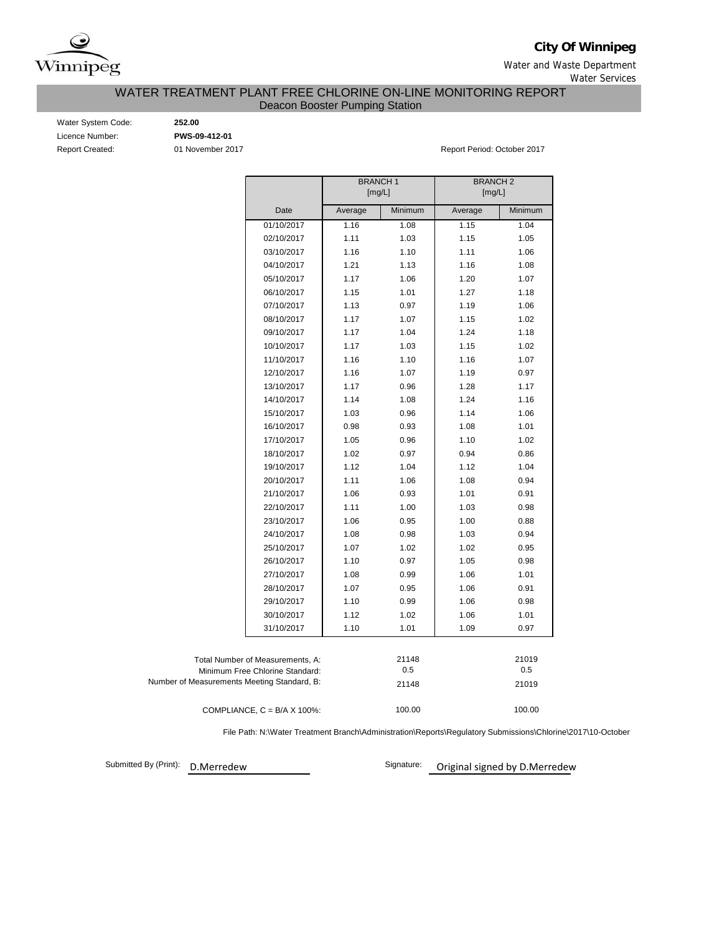

**City Of Winnipeg**

Water and Waste Department Water Services

WATER TREATMENT PLANT FREE CHLORINE ON-LINE MONITORING REPORT

Deacon Booster Pumping Station

Water System Code: **252.00** Licence Number: **PWS-09-412-01**

Report Created: 01 November 2017 Report Period: October 2017

|                                             | <b>BRANCH1</b><br>[mg/L] |         | <b>BRANCH2</b><br>[mg/L] |         |
|---------------------------------------------|--------------------------|---------|--------------------------|---------|
| Date                                        | Average                  | Minimum | Average                  | Minimum |
| 01/10/2017                                  | 1.16                     | 1.08    | 1.15                     | 1.04    |
| 02/10/2017                                  | 1.11                     | 1.03    | 1.15                     | 1.05    |
| 03/10/2017                                  | 1.16                     | 1.10    | 1.11                     | 1.06    |
| 04/10/2017                                  | 1.21                     | 1.13    | 1.16                     | 1.08    |
| 05/10/2017                                  | 1.17                     | 1.06    | 1.20                     | 1.07    |
| 06/10/2017                                  | 1.15                     | 1.01    | 1.27                     | 1.18    |
| 07/10/2017                                  | 1.13                     | 0.97    | 1.19                     | 1.06    |
| 08/10/2017                                  | 1.17                     | 1.07    | 1.15                     | 1.02    |
| 09/10/2017                                  | 1.17                     | 1.04    | 1.24                     | 1.18    |
| 10/10/2017                                  | 1.17                     | 1.03    | 1.15                     | 1.02    |
| 11/10/2017                                  | 1.16                     | 1.10    | 1.16                     | 1.07    |
| 12/10/2017                                  | 1.16                     | 1.07    | 1.19                     | 0.97    |
| 13/10/2017                                  | 1.17                     | 0.96    | 1.28                     | 1.17    |
| 14/10/2017                                  | 1.14                     | 1.08    | 1.24                     | 1.16    |
| 15/10/2017                                  | 1.03                     | 0.96    | 1.14                     | 1.06    |
| 16/10/2017                                  | 0.98                     | 0.93    | 1.08                     | 1.01    |
| 17/10/2017                                  | 1.05                     | 0.96    | 1.10                     | 1.02    |
| 18/10/2017                                  | 1.02                     | 0.97    | 0.94                     | 0.86    |
| 19/10/2017                                  | 1.12                     | 1.04    | 1.12                     | 1.04    |
| 20/10/2017                                  | 1.11                     | 1.06    | 1.08                     | 0.94    |
| 21/10/2017                                  | 1.06                     | 0.93    | 1.01                     | 0.91    |
| 22/10/2017                                  | 1.11                     | 1.00    | 1.03                     | 0.98    |
| 23/10/2017                                  | 1.06                     | 0.95    | 1.00                     | 0.88    |
| 24/10/2017                                  | 1.08                     | 0.98    | 1.03                     | 0.94    |
| 25/10/2017                                  | 1.07                     | 1.02    | 1.02                     | 0.95    |
| 26/10/2017                                  | 1.10                     | 0.97    | 1.05                     | 0.98    |
| 27/10/2017                                  | 1.08                     | 0.99    | 1.06                     | 1.01    |
| 28/10/2017                                  | 1.07                     | 0.95    | 1.06                     | 0.91    |
| 29/10/2017                                  | 1.10                     | 0.99    | 1.06                     | 0.98    |
| 30/10/2017                                  | 1.12                     | 1.02    | 1.06                     | 1.01    |
| 31/10/2017                                  | 1.10                     | 1.01    | 1.09                     | 0.97    |
|                                             |                          |         |                          |         |
| Total Number of Measurements, A:            |                          | 21148   |                          | 21019   |
| Minimum Free Chlorine Standard:             |                          | 0.5     |                          | 0.5     |
| Number of Measurements Meeting Standard, B: |                          | 21148   |                          | 21019   |
| COMPLIANCE, $C = B/A \times 100\%$ :        |                          | 100.00  |                          | 100.00  |

File Path: N:\Water Treatment Branch\Administration\Reports\Regulatory Submissions\Chlorine\2017\10-October

Submitted By (Print): D.Merredew

Signature: Original signed by D.Merredew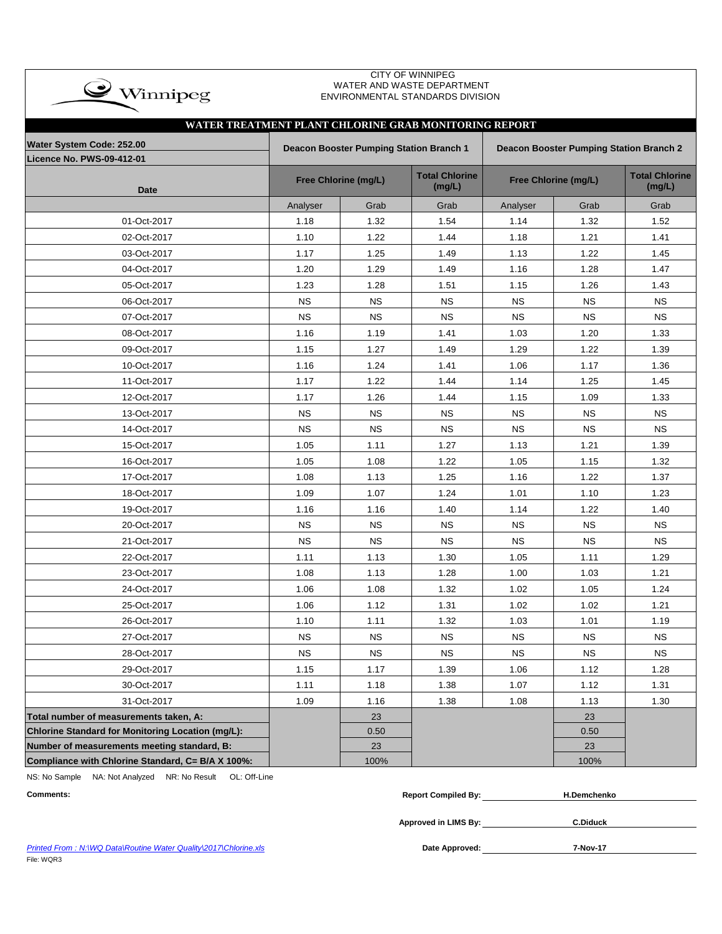| <b>CITY OF WINNIPEG</b><br>WATER AND WASTE DEPARTMENT<br>$\rightarrow$ Winnipeg<br>ENVIRONMENTAL STANDARDS DIVISION |           |                                         |                                 |                                         |                      |                                 |  |  |  |  |  |  |  |
|---------------------------------------------------------------------------------------------------------------------|-----------|-----------------------------------------|---------------------------------|-----------------------------------------|----------------------|---------------------------------|--|--|--|--|--|--|--|
| WATER TREATMENT PLANT CHLORINE GRAB MONITORING REPORT                                                               |           |                                         |                                 |                                         |                      |                                 |  |  |  |  |  |  |  |
| Water System Code: 252.00                                                                                           |           | Deacon Booster Pumping Station Branch 1 |                                 | Deacon Booster Pumping Station Branch 2 |                      |                                 |  |  |  |  |  |  |  |
| Licence No. PWS-09-412-01                                                                                           |           |                                         |                                 |                                         |                      |                                 |  |  |  |  |  |  |  |
| <b>Date</b>                                                                                                         |           | Free Chlorine (mg/L)                    | <b>Total Chlorine</b><br>(mg/L) |                                         | Free Chlorine (mg/L) | <b>Total Chlorine</b><br>(mg/L) |  |  |  |  |  |  |  |
|                                                                                                                     | Analyser  | Grab                                    | Grab                            | Analyser                                | Grab                 | Grab                            |  |  |  |  |  |  |  |
| 01-Oct-2017                                                                                                         | 1.18      | 1.32                                    | 1.54                            | 1.14                                    | 1.32                 | 1.52                            |  |  |  |  |  |  |  |
| 02-Oct-2017                                                                                                         | 1.10      | 1.22                                    | 1.44                            | 1.18                                    | 1.21                 | 1.41                            |  |  |  |  |  |  |  |
| 03-Oct-2017                                                                                                         | 1.17      | 1.25                                    | 1.49                            | 1.13                                    | 1.22                 | 1.45                            |  |  |  |  |  |  |  |
| 04-Oct-2017                                                                                                         | 1.20      | 1.29                                    | 1.49                            | 1.16                                    | 1.28                 | 1.47                            |  |  |  |  |  |  |  |
| 05-Oct-2017                                                                                                         | 1.23      | 1.28                                    | 1.51                            | 1.15                                    | 1.26                 | 1.43                            |  |  |  |  |  |  |  |
| 06-Oct-2017                                                                                                         | <b>NS</b> | <b>NS</b>                               | <b>NS</b>                       | <b>NS</b>                               | <b>NS</b>            | <b>NS</b>                       |  |  |  |  |  |  |  |
| 07-Oct-2017                                                                                                         | <b>NS</b> | <b>NS</b>                               | <b>NS</b>                       | <b>NS</b>                               | <b>NS</b>            | <b>NS</b>                       |  |  |  |  |  |  |  |
| 08-Oct-2017                                                                                                         | 1.16      | 1.19                                    | 1.41                            | 1.03                                    | 1.20                 | 1.33                            |  |  |  |  |  |  |  |
| 09-Oct-2017                                                                                                         | 1.15      | 1.27                                    | 1.49                            | 1.29                                    | 1.22                 | 1.39                            |  |  |  |  |  |  |  |
| 10-Oct-2017                                                                                                         | 1.16      | 1.24                                    | 1.41                            | 1.06                                    | 1.17                 | 1.36                            |  |  |  |  |  |  |  |
| 11-Oct-2017                                                                                                         | 1.17      | 1.22                                    | 1.44                            | 1.14                                    | 1.25                 | 1.45                            |  |  |  |  |  |  |  |
| 12-Oct-2017                                                                                                         | 1.17      | 1.26                                    | 1.44                            | 1.15                                    | 1.09                 | 1.33                            |  |  |  |  |  |  |  |
| 13-Oct-2017                                                                                                         | <b>NS</b> | <b>NS</b>                               | <b>NS</b>                       | <b>NS</b>                               | ΝS                   | <b>NS</b>                       |  |  |  |  |  |  |  |
| 14-Oct-2017                                                                                                         | <b>NS</b> | <b>NS</b>                               | <b>NS</b>                       | <b>NS</b>                               | <b>NS</b>            | <b>NS</b>                       |  |  |  |  |  |  |  |
| 15-Oct-2017                                                                                                         | 1.05      | 1.11                                    | 1.27                            | 1.13                                    | 1.21                 | 1.39                            |  |  |  |  |  |  |  |
| 16-Oct-2017                                                                                                         | 1.05      | 1.08                                    | 1.22                            | 1.05                                    | 1.15                 | 1.32                            |  |  |  |  |  |  |  |
| 17-Oct-2017                                                                                                         | 1.08      | 1.13                                    | 1.25                            | 1.16                                    | 1.22                 | 1.37                            |  |  |  |  |  |  |  |
| 18-Oct-2017                                                                                                         | 1.09      | 1.07                                    | 1.24                            | 1.01                                    | 1.10                 | 1.23                            |  |  |  |  |  |  |  |
| 19-Oct-2017                                                                                                         | 1.16      | 1.16                                    | 1.40                            | 1.14                                    | 1.22                 | 1.40                            |  |  |  |  |  |  |  |
| 20-Oct-2017                                                                                                         | <b>NS</b> | <b>NS</b>                               | <b>NS</b>                       | <b>NS</b>                               | <b>NS</b>            | <b>NS</b>                       |  |  |  |  |  |  |  |
| 21-Oct-2017                                                                                                         | <b>NS</b> | <b>NS</b>                               | <b>NS</b>                       | <b>NS</b>                               | <b>NS</b>            | <b>NS</b>                       |  |  |  |  |  |  |  |
| 22-Oct-2017                                                                                                         | 1.11      | 1.13                                    | 1.30                            | 1.05                                    | 1.11                 | 1.29                            |  |  |  |  |  |  |  |
| 23-Oct-2017                                                                                                         | 1.08      | 1.13                                    | 1.28                            | 1.00                                    | 1.03                 | 1.21                            |  |  |  |  |  |  |  |
| 24-Oct-2017                                                                                                         | 1.06      | 1.08                                    | 1.32                            | 1.02                                    | 1.05                 | 1.24                            |  |  |  |  |  |  |  |
| 25-Oct-2017                                                                                                         | 1.06      | 1.12                                    | 1.31                            | 1.02                                    | 1.02                 | 1.21                            |  |  |  |  |  |  |  |
| 26-Oct-2017                                                                                                         | 1.10      | 1.11                                    | 1.32                            | 1.03                                    | 1.01                 | 1.19                            |  |  |  |  |  |  |  |
| 27-Oct-2017                                                                                                         | <b>NS</b> | <b>NS</b>                               | <b>NS</b>                       | <b>NS</b>                               | <b>NS</b>            | <b>NS</b>                       |  |  |  |  |  |  |  |
| 28-Oct-2017                                                                                                         | <b>NS</b> | <b>NS</b>                               | <b>NS</b>                       | <b>NS</b>                               | <b>NS</b>            | <b>NS</b>                       |  |  |  |  |  |  |  |
| 29-Oct-2017                                                                                                         | 1.15      | 1.17                                    | 1.39                            | 1.06                                    | 1.12                 | 1.28                            |  |  |  |  |  |  |  |
| 30-Oct-2017                                                                                                         | 1.11      | 1.18                                    | 1.38                            | 1.07                                    | 1.12                 | 1.31                            |  |  |  |  |  |  |  |
| 31-Oct-2017                                                                                                         | 1.09      | 1.16                                    | 1.38                            | 1.08                                    | 1.13                 | 1.30                            |  |  |  |  |  |  |  |
| Total number of measurements taken, A:                                                                              |           | 23                                      |                                 |                                         | 23                   |                                 |  |  |  |  |  |  |  |
| Chlorine Standard for Monitoring Location (mg/L):                                                                   |           | 0.50                                    |                                 |                                         | 0.50                 |                                 |  |  |  |  |  |  |  |
| Number of measurements meeting standard, B:                                                                         |           | 23                                      |                                 |                                         | 23                   |                                 |  |  |  |  |  |  |  |
| Compliance with Chlorine Standard, C= B/A X 100%:                                                                   |           | 100%                                    |                                 |                                         | 100%                 |                                 |  |  |  |  |  |  |  |

NS: No Sample NA: Not Analyzed NR: No Result OL: Off-Line

| <b>Comments:</b> | <b>Report Compiled By:</b> | H.Demchenko     |  |  |  |  |
|------------------|----------------------------|-----------------|--|--|--|--|
|                  |                            |                 |  |  |  |  |
|                  | Approved in LIMS By:       | <b>C.Diduck</b> |  |  |  |  |

**Printed From : N:\WQ Data\Routine Water Quality\2017\Chlorine.xls** File: WQR3

**7-Nov-17**